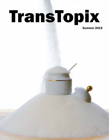# TransTopix

Summer 2015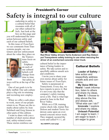## **Safety is integral to our culture** President's Corner

eadership in safety is a cultural belief that resonates with all of our other cultural beliefs. Just look at the box on this page and you will understand the interaction between safety and each of our cultural beliefs. L

In this issue of *TransTopix*  we see comments from Transystems people, our customers and law enforcement about the value they place on



the Transystems focus on safety.

Emphasis on each of our cultural beliefs will change from time to time

but safety always will be at the top of the list. **Scott** 

One of our goals is to be fully staffed. Our safe culture plays a big role in retaining and recruiting new employees.

When we offer a safe place to work, more of our people return to us. Please see the remarks about safety by Jean Sulzbach and Greg Jenson in other parts of this edition.

I want to share with you a number of short stories about real, safety-related events. These stories reinforce our



**Red River Valley drivers Terrie Anderson and Ray Deleon put Transystems safety training to use when rescuing the driver of an overturned concrete mixer truck.**

cultural belief in the importance of being leaders in safety. We take action and respectfully address unsafe acts and conditions.

I invite you to share your own stories about safety for future issues of *TransTopix*.

Safety is paramount at Transystems. Every day, we have reports to prove it. But it's not every day that the company's safety training saves a life. That is what happened in June in the Red River Valley.

While on a CDL training course check ride, trainer Ray Deleon and student Terrie Anderson came upon an overturned concrete mixer truck. They stopped, secured the scene and called 9-1-1, all

#### See SAFETY, next page

#### Cultural Beliefs

**Leader of Safety:** I take action and respectfully address unsafe acts and conditions.

**My Voice Will be Heard**: I seek information, listen to others and share my ideas.

**Own It**: I choose to stay above the line and always ask, "What else can I do?"

**Innovate**: I explore and share my ideas.

**Unleash Potential**: I am eager to learn. I am eager to teach. I am eager to grow.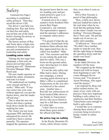## Safety

Continued from Page 2 according to established safety protocol. Then they saved the driver's life.

The driver's seat belt was choking him. Ray and Terrie cut him free and safely moved him out of the truck before clearing his airway so he could breathe.

The heroic actions of Ray and Terrie show a high commitment to Transystems values and commitment to leadership and safety.

#### Loading zone rules

"During the last sugar beet campaign, a first-year employee proved that safety training pays off," Minnesota Division Manager Mike Rood said.

The new loader operator attended the safety orientation and took it to heart.

"He understood our loading zone concept and how it works," Mike said. "If anyone comes into your zone without approval, you put the bucket down, shut the loader off and stop."

That is what the new employee did when a pickup truck drove inside the cones marking his zone.

The visitor was not wearing proper PPE and had not announced his arrival. He could have been a curious passerby. The operator stopped the operation and let the person know that he was in a loading zone and personal protective gear is required in this area.

It turned out to be a representative from Southern Minnesota Beet Sugar Cooperative, our customer. The representative appreciated the operator's adherence to company safety procedures.

"I'm proud of what the operator did. I heard back from Southern Minn officials that they appreciated how the incident was handled," Mike said. "Our customer said that we are setting the gold standard for safety. This was a boots-on-the-ground safety story showing how it's done at Transystems."

It's not the only safety tale Mike had to share. During one campaign, a school crossing guard showed up at Mike's office to compliment Transystems on the way drivers behaved in the school zone. Another time, a Renville law enforcement official tracked Mike down to say thanks to Transystems' drivers who never failed to stop for a full three seconds at a stop sign.

"I don't have to worry about those green trucks," the official told Mike.

#### No price tag on safety

In the Rocky Mountain Division, safety always comes

first, even when it costs us money.

Driver Ron Toscano is proof of that philosophy.

"Ron, a fairly new driver, had just loaded his trailer at the coal mine when he noticed that the parking brake on the mine's loader was not holding," Division Manager Steve Torix said. "He put the loader out of service, as safety rules mandate.

"It affected us," Steve said. "We didn't have another loader to load the coal. Ron did the right thing in shutting the operation down until the loader was fixed."

#### No losses

In the Idaho Division, the numbers tell the story.

"We wrapped up the Hailey Airport job with no losses from beginning to end," Division Manager Kevin Iversen said. "I'm proud of Aaron Woolman, who supervised the project."

I am inspired by these real safety-related stories. On many of my visits with employees I hear how important building a safe culture is to employees and their families. Transystems cares enough to build a safe culture.

I would like us to continue sharing these stories of everyone being involved in being a leader in safety. Thanks,

> *Scott Lind, President and COO*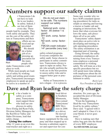## **Numbers support our safety claims**

t Transystems I do not have to look far to see leaders in safety. Indeed, I see lots of them every day. These people lead by example. They A

work safely and quietly. They are the core of the safety culture at Transystems and their



efforts are noticed and appreciated. We should do a better job of expressing ap-

preciation for the many

Rich

people who make Transystems a safe place to work.

While most people are leaders of safety by working safely and setting good examples, Transystems encourages employees to speak up and to be active in a number of

We do not just claim to be safe. The numbers support our safety record: National work. comp. factor: .85 (below 1 is good) WY work. comp. factor: .72 ND work. comp. factor: .70 FMCSA crash indicator:  $14<sup>th</sup>$  percentile (very low)

safety-related programs. Everyone completes the safety audit. Some choose to participate in safety committees. Transystems always is open to input on safety. People who actually perform the work are in the best position to assess safety risks and to suggest better gear or practices.

Safety at Transystems is not a slogan – it is a process.

Some may wonder why we have SOPs (standard operating procedures) for tasks as simple as entering and leaving a tractor or loader cab and stopping at intersections. We know that when everyone follows the same, safe procedures all of us are safer.

Transystems'safety department plays an active role in developing and training on safe operating procedures. The safety orientation is an important part of training.

Going forward, the safety orientation emphasizes obtaining from every Transystems employee a personal commitment to working safely. We will train on a few specific procedures but we will spend more time talking with employees about the importance of the personal commitment to safety.

> *Rich Carl, Vice President of Safety*

# T **Dave and Ryan leading the safety charge**

local driver in Southern Minnesota, Dave joined Transystems' RRV Division in 2006 as a driver. He moved

o be a leader in safety as a company, Transystems must support those who lead our employees in safety.

Dave Elsing and Ryan Fiala, Division Safety Managers for the Red River Valley and Idaho Divisions, lead that safety charge.

Living the culture After 12 years as an over-theroad trucker and eight as a



Dave

into hauling heavy equipment for the company and then stepped up to become a substitute supervisor and supervisor for construction. Six years ago, he accepted the post of Division Safety Manager.

"From the beginning, I liked the way Transystems lived by its safety culture," Dave said. "I agreed with it and I adopted it. Once it's in your blood, it never goes away."

Dave is making sure that safety bug gets into the blood of every RRV employee.

See OUR CULTURE, next page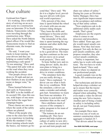## Our culture

Continued from Page 4

It's working. Dave told the story of arriving on an accident scene in a construction zone on Interstate 29 in North Dakota. Transystems vehicles were traveling through the construction zone. When Dave asked the North Dakota patrol officer if he would like Transystems trucks to find an alternate route, the trooper said no.

"He said, 'I want your trucks to keep running. I trust your drivers and they are helping us control traffic by maintaining a safe speed." "It was amazing," Dave said. "The patrol felt safer with us on the road when they were working the accident.

"Our people always slow down to 30 mph and put on their flashers at any accident scene or danger zone," he added.

Those learned behaviors start early in Transystems. The RRV is in the middle of its second CDL class this season, with hopes of one more class before the sugar beet campaign begins.

Those classes are one area where the seeds of the safety culture are planted.

"Most of the people who come to the class have little or no experience in trucking. While the standard 15-day driver training schools teach the basics, our trainers go beyond that," Dave said. "We do it to a higher level, providing new drivers with more real world experience."

Fifty percent of the class time is spent behind the wheel of a truck with one-on-one trainers riding shotgun. "They learn the skills and techniques to become professional drivers," Dave said.

The remainder of the class time is spent learning the regulations and other skills that are necessary.

"We teach all the techniques to be a good driver. The training then continues as the new drivers move on to actual work projects," Dave said.

To hone further new and existing drivers'skills, the division plans to bring in a simulator to teach how to drive in winter conditions.

"The simulator feels like you are really driving a truck," Dave explained. "A driver can see what it feels like in icy conditions. With the simulator, a driver can make a mistake and nobody gets hurt. Sometimes we learn best from our mistakes. It's far better to jack-knife on the simulator than on the road."

Dave attributes much of success of the company's safety program to his team of driver trainers.

"The trainers do an outstanding job. They have grown and help explain our culture of safety to new drivers. The trainers are excited to go out and train people and

share our culture of safety." During his years as Division Safety Manager, Dave has seen significant improvement in the acceptance and embracing of that safety culture.

"Now employees ask to do additional safety audits each month. That's great."

Employees are the experts when it comes to our processes and procedures, Dave added. Years ago, people would report unsafe conditions. Now they feel more engaged. Not only do they report unsafe conditions, and propose remedies, they also correct unsafe conditions.

"Safety is important, but safety has to work with operations. The two have to work hand-in-hand," Dave said. That is where we depend on our professional people.

A good example was on the Murdo, SD construction project.

Our technicians and drivers helped develop a whisker set up to ensure that the tractor and trailer were correctly aligned when unloading. They even made a video for drivers using the new Volvo tractors. Another part of being a leader in safety is including safety for all, not just Transystems employees.

An example Dave mentioned was one of work on summer construction where aggregate is hauled 24-7.

"Our drivers asked for ways

See OUR CULTURE, next page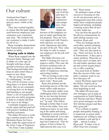## Our culture

Continued from Page 5 to make the customer's employees more visible in the dark."

They also worked together to ensure that the hand signals used between employees and customers were consistent and clear. "We worked with our customer to make it safer for all of us."

These examples demonstrate that Transystems people are leaders in safety.

#### Staying safe in Idaho

When Ryan stepped into the Division Safety Manager job in Idaho six years ago, he brought with him <sup>a</sup> background in business and sales. That background helps him keep an open mind when it comes to new ideas.

"We are always learning. It's challenging," he said. "You will never know everything there is to know about safety. But we are constantly reviewing how we do things and listening to our people. There's <sup>a</sup> lot of research that goes into our safety programs to help us evaluate and find new ways to do things."

Constantly keeping an eye on the safety ball has paid off with positive feedback from satisfied customers.

The Idaho Division is working <sup>a</sup> summer project on the Mountain Home Air Force Base under the supervision of the Army Corps of Engineers.

"An Army Corps member



told us that out of all the jobs they've done with contractors and companies, Transystems stands out

Ryan

because of the emphasis we pu<sup>t</sup> on safety and doing the job properly. They are very, very impressed with Transystems and how we do our work. Operations and safety are par<sup>t</sup> of the job. They value the steps we take to ensure our employees do the job well and safely."

The Idaho Division constantly is looking for ways to improve safety. This year, the division continues tests on loader steps to enhance the safety of employees entering and exiting loaders.

"We are testing to ge<sup>t</sup> <sup>a</sup> true picture of how the prototype stairs work," Ryan said.

Ryan also pointed out the increasing success of the electronic safety audit process.

"The electronic audits were challenging when we started, but we are moving forward with <sup>a</sup> more polished product," he said. "Our follow through is better than it used to be on the audits. Now our employees know we are looking at the audits and doing something to correct defects."

That has paid off. Loss rates have dropped and safety ratings have improved. "Our frequency of loss is better by eight percen<sup>t</sup> this year over

last," Ryan noted.

He attributes some of that success to focusing on why we do our processes and to <sup>a</sup> managemen<sup>t</sup> team that consistently hires competent people. Improved training, including <sup>a</sup> turning course that all drivers take, helps too.

You can hear the payoff as the drivers communicate by radio during summer construction, Ryan said.

"They are looking out for each other, quickly pointing out hazards on the road," he said. "They are also quick to say, 'That's not how we do it at Transystems,' if they spo<sup>t</sup> <sup>a</sup> safety problem. When the supervisors aren't at hand, drivers and loader operators step up and correct unsafe behavior or offer coaching."

You need look no further than the success of the company's summer work to see how that pays off.

Aaron Woolman supervised the Hailey Airport job in Idaho. The job went loss-free from beginning to end.

The Idaho Division sent new managers out to help on construction in North Dakota. Jeff Thomas and Dave Wedel were green managers on their first summer project and they did <sup>a</sup> grea<sup>t</sup> job."

"It is <sup>a</sup> tribute to quality people and quality training. It is teamwork in action when employees are willing to step up, complete <sup>a</sup> job and do it right ... and do it safely." Ryan said. "It takes <sup>a</sup> lot of effort from lots of people."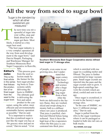## **All the way from seed to sugar bowl**

#### 'Sugar is the standard by which all other sweeteners are measured.''

he next time you stir <sup>a</sup> spoonful of sugar into your coffee, stop and think about how the sugar go<sup>t</sup> there. Most likely, it started as <sup>a</sup> tiny sugar beet seed. Iikely,

> "The beet sugar industry is <sup>a</sup> very complex operation all the way from seed development to the sugar bowl," said Darvin Hauptli, Packaging and Warehouse Manager for Southern Minnesota Beet Sugar Cooperative in Renville ,

MN.

#### Editor's note:

This is the final article that follows the production of refined sugar from the seed to the sugar bowl.

"This process goes from the seed selection made by the farmer for the in the series best sugar producing beets to Transystems safely delivering the beets to SMBSC. The ultimate goal is delivering the best and safest

product to the consumer, using the safest, most efficient and environmentally sustainable factory operation as possible," Darvin said.

"It is important to realize that this crystalized sugar is just like the sugar you buy at the grocery store and pu<sup>t</sup> on cereal," Darvin noted. "A lot



**Southern Minnesota Beet Sugar Cooperative stores refined beet sugar in 11 storage silos.**

of people, even some in our growing area, don't under-



stand that sugar comes from beets." Technology and science play <sup>a</sup> huge par<sup>t</sup> in getting sugar from <sup>a</sup> beet. After the

Darvin

beets are delivered to the factory flume, they are washed, sliced and swep<sup>t</sup> along in <sup>a</sup> steamy bath to <sup>a</sup> diffuser where raw juice is produced. That juice is purified, clarified and filtered before being softened. Next it faces the high heat of the evaporators where the thin juice is concentrated into thick juice

which is enriched with raw sugar in <sup>a</sup> scalding melter and filtered. The juice is further concentrated in large vacuum pans. Small sugar crystals are injected into the pans and the sugar crystals start to grow. A high-speed centrifuge harvests the crystals which are dried, cooled and sent to storage.

Once sugar is crystalized, it is sent to the factory's sugar storage silos.

"In the case of SMBSC, we have 11 different storage silos," Darvin said.

Sugar is pulled from the silos to the sugar warehouse where it can be packaged or loaded in bulk into rail cars or bulk trucks.

See SUGAR, next page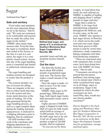## Sugar

Continued from Page 7

#### **Safe and sanitary**

"Food safety and sanitation are the most important things we do in the factory," Darvin said. "We want our customers to be comfortable and assured that we make the safest, best sugar on the market."

SMBSC takes many steps toensure that. From the time the sugar is crystalized, dried and cooled in the factory, to the time it is put in a container, the sugar is in a completely closed system. Access into any of the sugar handling areas is controlled and limited to authorized, trained personnel.

The sugar handling and loading systems are designed to ensure that the product is safe.

The systems include a series of screens for sifting. There are magnets in the system to collect metal that may be in the system and electronic metal detectors at the point of loading. All of the data generated during the sugar handling process, as well as a sugar samples taken during the loading and packaging process, is analyzed in a shipping laboratory prior to shipping, Darvin explained.

All staff members who work in the warehouse and shipping department are highly trained to recognize



**Refined beet sugar, and plenty of it, is produced by Southern Minnesota Beet Sugar Cooperative in Renville, MN.**

potential issues and take appropriate actions immediately.

#### **Out the door**

The Renville facility produces about 800 million pounds of granulated sugar each year. The factory also makes a small amount of liquid sugar.

Once the sugar is made, it's time to move it to the country's sugar bowls.

SMBSC ships sugar in 50 pound bags, 2000-pound bags, bulk liquid sugar trucks, bulk pneumatic trucks, and in rail cars.

Eighty percent of SMBSC sugar is shipped in bulk form. Half of it goes by bulk trucks which hold an average of 52,000 pounds. The rest of the bulk sugar moves by rail. A rail car of sugar holds a product weight of 220,000 pounds, Darvin explained.

"As you can see by those

weights, we load about four trucks for each railroad car. SMBSC is capable of loading and shipping about 3 million pounds of sugar each day."

Sugar that is made by SMBSC is for large food manufacturing companies throughout the Midwest, and, in some cases, on the east coast. SMBSC also operates a beet sugar factory in Brawley, CA, which serves the southwest and west coast. Sugar from beets grown in Minnesota is used by cereal manufacturers, candy companies, baking companies and other food producing companies.

"These are contracted sales with companies that, in most cases, have been doing business with SMBSC for many years," Darvin said.

"Consumers can always be assured that the purest, healthiest, best tasting sugar is in its natural state which is white crystalized beet sugar. As in all things, enjoy in moderation. Sugar is the standard by which all other sweeteners are measured.Why, then, would anyone choose another sweetener?"

*Darvin Hauptli is the Packaging and Warehouse Manager for Southern Minnesota Beet Sugar Cooperative in Renville, MN. He has served as an instructor at the Beet Sugar Development Foundation for granulation, storage and food safety.*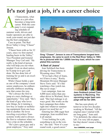## **It's not just a job, it's a career choice**

t Transystems, what starts as a job often becomes a long-term career. With the company's ever expanding schedule of summer work, drivers and loader operators are able to work year-round, not just during the beet campaigns. A

Case in point: The Red River Valley's Greg "Chaser" Jenson.

"Chaser been with us for 32 years, since we first started hauling beets in the Valley," Vice President and General Manager Troy Carl said. "He really is the kind of person who will help you out when needed. Even on short notice, he'll jump in to get a job done. He has done lots of training for us and is an excellent teacher."

While Chaser holds a spot as one of the company's most senior employees, he enthusiastically embraces anything new that comes his way.

"He's always the first to jump at a new challenge or opportunity," Troy said. "He's the kind of guy who loves new things, be it running a low-boy or loader or mobilizing equipment from one location to another. He loves traveling everywhere Transystems works and is always the first to volunteer when we have a trip on the schedule.

"He's just a great guy and a great employee," Troy said.



**Greg "Chaser" Jenson is one of Transystems longest term employees. He came to work in the Red River Valley in 1983. He is pictured with his 1,000th low-boy load, which he completed this summer.**

#### '**A fleet of Jeans'**

Jean Sulzbach has been driving for Transystems in Wyoming since 1994.

"If we had a fleet of Jeans, we'd have it easy," Rocky Mountain Division Manager Steve Torix said. "It's like watching a fine watch run. She never stops."

Last campaign, Jean ran 4,000 more miles than any other driver in Worland, Steve said. "Her fuel mileage is always good. She works on the beet campaign then slides right into whatever summer project we need her on."

Entering her 20th sugar beet campaign, Jean recalled how it all started.

"I was looking for a job, something to do in the winter," she said. "Now it's yearround work, a good career."



**Jean Sulzbach joined Transystems in Wyoming. The upcoming sugar beet campaign will be her 20th.**

She has seen plenty of turnover in her two decades working in Worland. "All the original ones I started with are long gone," Jean said. "I'm definitely the oldest one left. I'm very old on paper, but that doesn't mean a thing to me."

See CAREERS, next page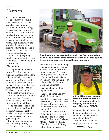## **Careers**

Continued from Page 9

The company's commitment to safety is one reason Jean has stuck around.

"When it comes to safety, Transystems does it well," she said. "I've gotta say I've worked for many supervisors and I don't have a bad thing to say about a single one of them. I don't know how they do what they do, with so many people to be hired and trained. And they keep the equipment real safe.

"I can't imagine going to work for another outfit," Jean concluded. Steve will be glad to know that.

#### **'Top notch'**

"A top notch, good hand," is how Vice President and General Manager of the Idaho Division Kevin Iversen describes David Moore, lead technician in the Paul shop. In his 11th year with Transystems, David did not realize he'd stick around so long. .

"I thought my employment would be temporary, but here I am years later," he said. He came to Transystems after serving with the Air Force.

"The best part of the job is the crew I get to work with," he said. "Everyone really works well together and we always manage to get any goal completed."

Maintaining communications is his top priority.

"The toughest part of the



**David Moore is the head technician in the Paul shop. When he came to work for Transystems more than a decade ago he thought his employment would be only temporary.**

job is getting and maintaining good communications so we all know what the priority is for any given day," he said. "Things tend to change a lot.

David and his wife Sarah live in Heyburn and have four children, Jacob, Dawson, Gabe and Samantha.

#### **'Cornerstone of the night shift'**

Loader operator and driver Mitchell Hawk has been on the job for Transystems since the company ran its first load of beets at Southern Minnesota Beet Sugar Cooperative in 2006.

"Mitchell is a cornerstone of the night shift, always stepping up to the plate when needed," Minnesota Division Manager Mike Rood said. "One time, he was half way to St. Cloud on his day off



**Mitchell Hawk has been part of the Southern Minnesota Transystems team since the company hauled its first load of beets for SMBSC.**

when I called and asked him to help out after a driver called in sick. He turned around and did it."

He not only is a reliable employee during the sugar

See CAREERS, next page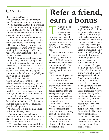## Careers

Continued from Page 10 beet campaign, he also jumps right into the summer construction season.

"This summer he started out working as a driver on the Pennington project in South Dakota," Mike said. "He did not bat an eye when we asked him to switch to running a loader."

That worked out well for Mitchell, too. He said running a loader is a little more challenging than driving a truck.

His career at Transystems was not his first job. He was a web pressman working for a newspaper in Bremerton, WA, before returning to his roots in the Midwest.

"I didn't think being a loader operator for Transystems was going to be my long-term career, but that's how it turned out," Mitchell said. "The work suits me. I like the company's emphasis on safety. Mike Rood is a good guy to work for. It's a secure job if you show up and do it right."

Mitchell does just that. "He's a quiet leader who steps in where needed with no uproar," Mike said. "He comes to work to do his job and do it well. He has increased our work force, recruiting his sister, Darcy Hawk, and nephew, Aaron Dickinson, to come drive for us."

His career with Transystems has not been without challenges. Bad weather and frozen sugar beets are tough on people and equipment.

"Some days, it's like picking a brick wall to load beets," he said.

There are many things he enjoys about the job. It is close to his home in Sacred Heart, where he and his wife raised their four children.

"The paychecks are good and I do a little bit of everything," Mitchell said.

# **Refer <sup>a</sup> friend, earn <sup>a</sup> bonus**

ransystems referral bonus program has been in place for more than a decade but really has taken off in the past three years, according to Ann Powers, Vice President of Finance. T

"In the past three years, 181 referral bonuses were paid," Ann said. A total of \$90,500 went to Transystems employees who recommended family and friends for job openings with the company

A dozen **e**mployees received two bonuses for successful referrals.

It is a program that has proven mutually beneficial. The referring employee gets the cash and Transystems gets a new employee who has been "pre-approved" by a current employee.

How does it work? Current employees who refer a successful job candidate to the company earn a \$500 bonus for each successful hire.

Any Transystems line or administrative employee is eligible to earn a referral bonus.

It's simple. Refer an applicant for a Level 2-4 driver or loader operator position. After the applicant has been on the job for 30 days, the referring employee gets the bonus.

While the referral program has been around for years, it was significantly altered in 2012, changing the length of time a referred employee must work to trigger the bonus. The length of time employed dropped from 90 to only 30 days.

The referral bonus program is available in all Transystems divisions. Any Transystems line employee – laborers, clerks, drivers, technicians, operators, welders – can earn this bonus. Some employees receive thousands just by referring friends. Employees can refer all year long.

The program is successful for several reasons. Drivers refer people they want to share the road with. The company's best hires are drivers who have been referred to us. People are more likely to stay at a company where their friends work.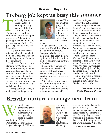## Division Reports **Fryburg job kept us busy this summer**

he Rocky Mountain Division started working on a big haul out of Fryburg, MT, in mid-July. Thirty units are working around the clock to stockpile gravel near Wibaux for a paving project being done by a new customer, Nelcon. The job is expected to run to mid-September. Thirty u

> That's just in time for our drivers and trucks to make it home to Sidney and Worland for the beginning of the sugar beet campaigns.

The harvest forecast is outstanding for Worland. Our customer is looking at the best crop ever. Estimates hover around a 30-ton per acre average. But we're not counting our beets before they're harvested. You never know when a hailstorm can come through and change things.

The crop south of Sidney is really good, while growers



north of Sidney are struggling a bit. According to the factory, it will be a good year in Sidney, but not a record-

breaker. **Steve** 

We put Sidney's fleet of 15 brand new Freightliner Cascadias to work in Fryburg. Everyone who has driven them is excited about the new equipment. It'll roll right into the beet harvest when Fryburg is finished.

Since our beet campaigns start later than the other divisions, we'll travel where needed to wrap up any construction projects that can use our help.

With Sidney now officially part of the Rocky Mountain Division, we've been spending a lot of time there visiting with our customers, MDU

and Sidney Sugars.

Sidney Project Manager John Hoadley and Supervisor Scott Wilson have been working hard to make sure everything runs smoothly there. They put strong emphasis on the MDU ash haul and it really paid off. The haul was complete in record time, wrapping up the end of June. We showed our customer that we can get the job done quickly when necessary.

John, Scott and clerk Christy Dingfelder are to be commended for their recruitment efforts for our summer work. We needed 30 drivers for the Fryburg job, and they had more than 45 qualified candidates ready to roll.

We look forward to saluting our outstanding employees at picnics in both Sidney and Worland in September.

> *Steve Torix, Manager Rocky Mountain Division*

## **Renville nurtures management team**

hile the sugar beets were growing back home in Minnesota, we were growing some managers out in South Dakota. Pennington County milling W

Project Manager Jeff Thomas



Mike

and Supervisors Zeke Nott and Dave Wedel had no experience managing construction when they

stepped up to the plate on the job near Wasta, SD. The novice management team was sorely tested by Mother Nature. In early May, we started working in a blizzard, which later created flooding twice in the gravel pit area. Wind, hail

See WEATHER, Next page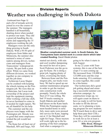## Division Reports **Weather was challenging in South Dakota**

Continued from Page 12 and a bit of tornado activity joined in over the course of the summer. The managers handled it all beautifully, shutting down when needed to protect our team. They did a great job handling the elements and supporting the 35 employees working the job.

Managers were not the only thing growing in South Dakota. With a 50-50 split of employees from Idaho and Minnesota, the summer also nurtured a sense of camaraderie among drivers, technicians and managers from Transystems' widespread divisions. We put forth a joint effort. While we came from different divisions, we worked together as one company to get the job done.

Technician Lucas Slagter can be credited with keeping the wheels turning on the Pennington job. We were thin on technicians, but Lucas took ownership of the project and kept the equipment running. After working a full day shift, he never hesitated to come in if needed for night repairs. We are all thankful for his help.

The customer and the employees were happy with the Pennington job. Morale was so good that some employees wished the job would last longer.

The Kane hot oil haul out of Marshall, MN and Fargo, ND





**Weather complicated summer work. In South Dakota, the Transystems team started work in a snow storm which later created flooding.** David Wedel photos

started out slowly, with rain and cool weather dampening the need for hot oil to pave. Scott Pederson was the go-to guy for Kane. He is doing a great job, logging plenty of miles, overseeing the hauls.

Between Kane and the Pennington jobs, our trucks were busy. We had to speed up our summer maintenance program in order to get the tractors onto construction work promptly. Nearly the whole fleet of 35 was rolling. We had 19 trucks running in South Dakota and another half dozen on the Kane hauls. While the Pennington equipment headed home in early July, more units were pressed into service for Kane, topping out at 12 for Marshall and eight for Fargo. Those tractors will work right up to the beginning of the beet campaign. And what a campaign it's

going to be when it starts in mid-August.

In my 22 years with Transystems, this is one of the best crops I've seen coming up. We increased from 118,000 to 125,000 acres and the crop looks amazing. If it continues to come together, this could be a bin-buster.

Our technicians did a good job getting ahead and ensuring a successful summer construction campaign. As construction wraps up, we will again count on them to have us ready to roll for beets. In order to fill the drivers' seats, we're planning a training program for new students. We'll teach them to drive and help them pass their CDLs. Then they will be committed to work for us for at least a year. It's a win-win program.

*Mike Rood, Manager Minnesota Division*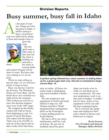## **Busy summer, busy fall in Idaho** Division Reports

t the peak of summer, things are looking great in Idaho. A perfect spring to start a record beet crop was followed by plenty of heat and enough water to



grow the crop. Our hot spell came a little early in late June but the water is holding out and only a few beets in

Kevin

western Idaho and eastern Oregon will be short of water. We knew that was coming so it's no surprise.

When we start rolling on harvest Sept. 10, we will have plenty to keep us busy.

Busy was the key word for the division. The Mountain Home Air Force Base job for Knife River was switched to a night job by the customer. That worked out well for us since the daytime temperatures were in the 100º range.

We wrapped up the Hailey Airport job with no losses from beginning to end. I'm proud of Aaron Woolman, who supervised the project. There was a lot of traffic in and out of the airport and we had a really short haul there,



**A perfect spring followed by a warm summer is setting Idaho up for a great sugar beet crop. Harvest is scheduled to begin around Sept. 10.**

only six miles. All those elements made it challenging and Aaron handled it beautifully.

We sent employees and equipment to North and South Dakota to help out. Jeff Thomas and Dave Wedel sharpened their management skills on the Pennington County milling project in South Dakota.

My hat is off to our entire maintenance staff for a job well done. We got lots of feedback about the good

shape our trucks were in when we sent them out to work construction. The summer maintenance work is on time and on budget. I couldn't ask for more. Some of our equipment will be out until the beet campaign begins.

We'll welcome the equipment and employees back with a bunch of picnics and barbecues in August.

*Kevin Iversen, Vice President and General Manager Idaho Division*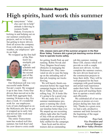## **High spirits, hard work this summer** Division Reports

ransystems' "what else can I do to help" attitude is thriving in western North Dakota. Everyone is kicking in and helping out on our summer construction projects, and we're having fun getting to know drivers from all across the company. Even with delays caused by weather, our employees'spirits are high. kickin

We wrapped up the first half



of the Watford City stockpile job right on schedule and rolled into the second part of the job in mid-July.

Mike

Our Dickinson job was very successful under Robin Novak's watch. We wrapped it up in late June. Forty-four drivers then moved on to the South Park aggregate haul, running 24-hours-a day, five days a week. It's wonderful work for our employees. Lots of rain challenged us on the McKenzie job, but we got it wrapped up in early July and moved onto work near Alexander, ND.

The entire Transystems team has worked well this summer, but Josh Kayl and his crew deserve extra credit



**CDL classes were part of the summer program in the Red River Valley. Trainers did a great job teaching novice drivers how to operate trucks safely.**

for getting South Park up and running. Robin Novak and Tracy Magnus faced many obstacles in managing the Dickinson job. They innovated on site to ease the hang up on the unloading end of that job, keeping our trucks flowing.

We will barely finish construction before the sugar beet campaign begins in the Red River Valley. Beets start rolling Aug. 20. It looks like it's going to be a good crop.

We are ready for it. The summer maintenance program is running like clockwork and we are keeping to our timeline better than ever. We amped up our recruiting efforts right after the Fourth of July with an advertising campaign and expect to be fully staffed for the campaign.

Sean Scott and his driver trainers did an outstanding

job this summer, running three CDL classes which will provide us with a couple dozen new drivers. As they complete the summer courses, the new drivers head out to the construction projects to hone their skills. They will be well-prepared for the beet campaign with good training and actual road experience under their belts. The trainers did a great job teaching them how to operate a truck safely and efficiently.

We celebrated all of our employees at picnics at every project during late June and July. Thanks to a great crew, we had a safe, productive summer and look forward to the beginning of the sugar beet campaign.

> *Troy Carl, Vice President and General Manager Red River Valley Division*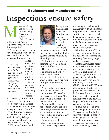# **Inspections ensure safety** <sup>M</sup> <sup>R</sup> Equipment and manufacturing

any small steps add up to Transystems being a "Leader in Safety." Vice President of Equipment Adolfo Siqueiros keeps an eye on those steps 24-7.

"A few weeks ago, I read a very interesting article about a survey that asked fleet managers throughout the

*"If we reduce out costper-mile by just one cent, it equals almost \$350,000 in total savings each year. What a difference a penny can make."*

**United** States one question: What is the main objective of a fleet manager?" "As you can imagine, there were many valid responses to

that question," Adolfo said. "However, one response stood out above all the rest. 'The main objective of a fleet manager is to save lives."

"One big way we ensure that Transystems remains a leader in safety is by performing special safety inspections at least every 10,000 miles," Adolfo said.



Transystems maintenance teams perform inspections on every tractor and trailer, checking vital equip-

Adolfo

ment components such as tire pressure and condition, brake system, vehicle coupling devices, lights, etc.

"All of these components promote safe vehicle operation," Adolfo said.

That focus on maintenance is an integral part of how Transystems operates, whether it's looking into ways to reduce cost-per-mile or improving our safety score.

"If we reduce our cost-permile by just one cent, it equals almost \$350,000 in total savings each year," he said. "What a difference a penny can make."

Adolfo and his maintenance team always consider better ways to create a safer work environment in our shops, out at summer projects and in our vehicles.

Remaining a leader in safety is an ongoing process. "We are in the process of

reviewing our technician job assessment with an emphasis on proper lifting techniques," Adolfo noted. "And we will be enhancing our safety communication process including daily 3-minute safety moments and more frequent shop safety audits."

With five months of Transystems employment under his belt, Adolfo is seeing the company from every angle and every project.

Adolfo has traveled nearly every week since he came to the company, visiting projects from each division.

"My on-going training happens just as much at the many projects I visit, as sitting at my desk at the GFSC," Adolfo said. "I'm really enjoying the start of my journey at Transystems and look forward to a bright future. I love what I do and I look forward to the new challenges and opportunities that each new day brings.

"I have met a lot of great, dedicated people within the Transystems umbrella. I've enjoyed everyone's support and eagerness to consider new ideas on how to make Transystems operation run more effectively," he said.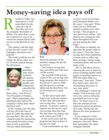# **Money-saving idea pays off**

ed River Valley Administrative Cordinator Barb Zavala came up with an idea that will save the company thousands of dollars. For more than a year, she worked on a way to decrease the unused Sirius radio service in the Red River Valley. R<br>the com

This spring, with the help of the Service Center's Viki Gallagher, that hard work paid off.

The costly problem was the charge for Sirius radio service in trucks parked during the off-season.



"Barb identified units which would be idle during the summer months and temporarily cancelled the service on

Viki

those units," Ann Powers, Vice President of Finance, said. "More importantly, she identified units still on the company's Sirius plan which had been sold."

In the coming year, the idea will pay off to the tune of some \$12,000. But Barb did not stop there. She also developed a plan for monitoring units going forward to keep costs as low as possible. Viki provided information



Barb

about the amounts of the monthly charges for the Sirius service.

That money-saving idea may earn Barb and Viki each a \$100 reward.

The possible \$100 reward is part of the cost saving challenge program that started in the Service Center in 2008 and has grown to include Idaho and the Red River Valley Divisions on a small scale.

"At the end of each challenge year, everyone reports on how they did with their cost saving idea," Ann explained. "A person's name is entered into the hat for each cost savings idea they had. We then draw two names and each winner gets \$100."

In the seven years that the program has been in place it has proven itself.

"I can comfortably say that

we have saved several hundred thousand dollars over the years," Ann said. "What starts out as a \$200 idea quickly escalates into other savings. This program is now part of our culture. Employees are coming up with ideas throughout the year – not just during the challenge."

Who better to identify savings than the people right at the source? Over the years, savings have been identified in areas such as office supplies, postage, energy usage, communications and travel to name a few.

"We've had ideas such as reducing the cost of paper by always printing double-sided copies or printing reports to a PDF file rather than to a hard-copy," Ann said. "There have been many ideas for streamlining processes to save time spent."

The challenge's criteria are simple. Find a savings in direct costs, such as reducing purchased services or supplies. Or find a way to reduce the amount of time employees spend on unnecessary tasks, freeing the employees for more productive tasks.

Every employee of the GFSC has participated in this program, Ann said. When they participate, the entire company benefits.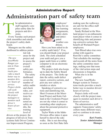## **Administration part of safety team** Administrative Report

he administrative staff regularly compiles safety data for projects and divisions. TRANSFERICITY<br>
THE ACTION PATT SERVICE OF SALE OF SALE OF SALE OF SALE OF SALE OF SALE OF SALE OF SALE OF SALE OF SALE OF SALE OF SALE OF SALE OF SALE OF SALE OF SALE OF SALE OF SALE OF SALE OF SALE OF SALE OF SALE OF SALE

Every Tuesday each project clerk assembles and emails the project's safety dashboard.

Managers use the safety dashboard to address poten-

*The new AssetWorks Ranger system in Transystems trucks provides a much better way to monitor drivers' hours-ofservice. Project clerks will work closely with the project managers to monitor each driver's hours-of-service.*

tial risk areas for the project and to assess the project's overall safety performance. The safety dashboard covers the number of safety audits and check rides, corrective actions for defects noted on safety audits, the training level of

drivers at the project, the progress of drivers in Transystems Safe Driver Continuous Improvement Program,



employees' status for online learning assignments, safety alerts and anticipated weather conditions.

Have you been asked to do a safety audit lately? If so, you should thank your project clerk. The clerk scheduled your audit and gave you a paper audit form or a tablet computer to do an electronic safety audit.

The project clerk also keeps up-to-date the Safety Board at the project. The clerks update the safety audit defect report, corrective actions, and post any new safety reminders or alerts

Speaking of corrective actions and identifying risk, Sheri Evenson at the Moorhead Project and Katie Galland at the Crookston Project are not shy when it comes to reminding other employees about the personal protective equipment.

Taylor Waite at the Idaho Division office takes it upon herself to shovel the sidewalks. She is out shoveling as soon as the first flake falls making sure the walkways are safe for the office staff and any visitors.

Sandy Richard at the Worland project is an enthusiastic team player when it comes to identifying risks and promoting corrective actions that benefit all Worland Project employees.

Toni Blood takes true ownership with regard to Renville's safety committee. Toni schedules the meetings and records all the notes from the safety committee meetings, making sure that none of the vital action steps and discussions is forgotten.

What else is in the pipeline?

The new AssetWorks Ranger system in Transystems trucks provides a much better way to monitor drivers' hours-of-service.

Project clerks will work closely with the project managers to monitor each driver's hours-of-service.

The administrative staff supports Transystems' safety culture many different ways, and we continue to do more every year.

> *Kari Franks, Senior Administration Manager*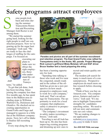## **Safety programs attract employees**

ome people kick back and relax during the summer. Transystems Retention and Recruiting Manager Josh Rector is not among them. S

"We started the summer going hard, looking for the right people to staff our construction projects. Now we're gearing up for the sugar beet campaign," Josh said. "We are ready to face the challenges of staffing for the campaign. I'm focused on



executing our plans to make sure we attract the right employees, those who understand the culture of Transys-

Josh

tems," he added.

To get that job done, Josh has been traveling. Since joining the company less than five months ago, he has spent time in the Bakken area including stops in Williston, Watford City, Dickinson and Glendive. He checked out recruiting opportunities in Grand Forks and Fargo and managed to squeeze in a little fun at the Hillsboro company picnic. Next, he's off to Idaho to finalize fall recruiting plans.

Every stop along the way



**Parades and picnics are all part of the summer recruitment and retention program. The East Grand Forks crew rallied for Transystems entry in the Aneta, ND, parade. Project Manager Rick Larson's girlfriend Misty Molstad, left and EGF driver Bruce Voelker lent a hand preparing the entry.**

has been a learning opportunity for Josh.

"Spending time talking to those who work and live near the congested, unsafe roads and in the culture of the oilfield has given me a new perspective on how much prospective employees want to work for a safe company," Josh said. That's an advantage for Transystems. The opportunity to work for a local company that emphasizes safety is attractive to prospective employees.

"The company's investment in safety makes recruiting a breeze," Josh said.

Traveling is not all Josh has been up to. He also has been improving existing programs and dreaming up new ones to

recruit and retain quality employees.

The modern job search for many is much more of a consumerprocess. Prospective employees do much more online research before choosing to apply.

"Think of how you buy on Amazon.com. You compare prices, features and read reviews," Josh said. "It's my aim to highlight Transystems' strengths for candidates searching online. We need to tell our story and communicate our core values.

"We are making changes to our application website(www.transystemsllc.com) to make it more

See JOIN OUR TEAM, next page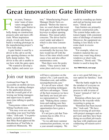## **Great innovation: Gate limiters**

or years, Transystems' team of innovators struggled to build a gate limiter to make operating a belly dump on construction projects safer and more efficient. When inspiration struck, it took only hours to build a working prototype in the manufacturing project's Twin Falls shop. **Francisco**<br>Francisco de la poeta de la poeta de la poeta de la poeta de la poeta de la poeta de la poeta de la poeta de la poeta de la poeta de la poeta de la poeta de la poeta de la poeta de la poeta de la poeta de la po

A gate limiter is used by a driver in the cab to set the gate opening distance on the belly dump trailers. The driver in the cab is unable to see how wide the gates open.

"We wanted to develop a safer, lighter, and easier sys-

tem," Manufacturing Project Manager Derek Torix explained. "Before the innovation, we used chains that went from gate to gate and through keyways to adjust opening distance. This raised safety concerns. The driver had to crawl under and adjust it which is also time consuming."

Another concern was that occasionally the keyway limiters would rip off with the force of the rams which could cause a loss and also affect maintenance costs.

Then there were the pesky chains. "They seem to hide some place and every year we would try rounding up chains and end up buying more and more," Derek said.

Gate limiters are primarily used for construction jobs. The system helps make customers happy with consistent rates of discharge of material. Moreover, the equipment unloading is less likely to become stuck in excess material.

"For example, when we windrow material the customer may want long skinny windrows or short wide windrows," Derek said. "The limiter is used to keep the

See TWIN FALLS, next page

## Join our team

Continued from Page 19 accessible on mobile devices. We also are making changes to the application process with the overall goal of allowing our hiring managers and supervisors to spend more time talking to quality leads."

Transystems videos will be hitting Facebook soon.

"You may even see our ads preceding your next YouTube video," Josh said. "I'm particularly excited and pleased that Mike Rood approved the introduction of YouTube in southwest Minnesota. We

will have a presence on the nation's No. 2 job search site, Glassdoor.com, and onMinnesotajobnetwork.com."

It's not all new school. Old school recruiting techniques still have advantages. "Some of the best resources we have had lately are local job service representatives," Josh said. "Making those connections and making sure they are informed of Transystems opportunities have gone a long way."

It's not just a job that Transystems has to offer. It's a career choice.

"As we add more summer construction positions, we are a year around company. We

are a very good full-time career option for families," Josh said.

"But the battle might be in the mindset of everyone on the front line of the hiring process to talk in terms of 'Career' instead of 'Job' or 'Project.'"

Retention efforts have not fallen by the wayside while recruiting is going on.

"Retention has been incredible," Josh said. "We have been reviewing all activities with project managers and supervisors and they have been doing an excellent job touching base with employees and conducting off-season activities."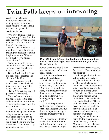# **Twin Falls keeps on innovating**

Continued from Page 20 windrows consistent as well as keeping the windrows from being too wide causing the trucks to get stuck."

#### **An idea is born**

"We were talking about creating a sturdy, heavy duty design that was easy for a driver to adjust, safer to use, and reliable," Derek said.

 While Mark Wilkinson was plumbing a trailer he started mulling the problem over and inspiration struck. Why not use a bucket level sensor from a loader?

"After years of trying to figure this out I can't believe we have never thought of it before," Derek said.

Derek, Mark and Joe Clark put their heads together and fine tuned the idea.

They figured out how it would need to be wired and then stole a sensor off of a loader to test the theory.

"Boom! Everything worked perfectly," Derek said.

They welded a bracket to the hopper next to the gate and mounted the sensor there. Triggering the sensor was the next problem.

"Joe came up with an idea that involved a plate with two wing nuts that are easy to take off so the plate can be moved up and down to adjust for different opening widths," Derek said. "Now it is a fully automated system. It is



**Mark Wilkinson, left, and Joe Clark were the masterminds behind manufacturing's latest innovation: the gate limiter.** Derek Torix photo

lighter, safer, and should have less maintenance and operational expense."

The team wasted no time testing the prototype.

"We had to test it right away, we were all too impatient to wait," Derek said. "After the test went flawlessly, we immediately made three more sets, installed them on trailers we were building and put them to work."

The Paul, ID project is hauling several different materials for Kloepfer Construction which put the new gate limiters immediately to the test.

"The nice thing is that they are hauling to the Kloepfer yard in Twin Falls, which is close by so we can be right

there if there are any issues," Derek said. "But so far none has come up."

With the gate limiter innovation tested and ready to roll, the limiters most likely will be added when units go out on construction work next year. Installation takes only an hour on existing units.

"We will install the brackets and wiring harness as we build these trailers and make it a standard feature," Derek said. "We are also going to make extra pieces made so that we can have them on hand to send to other projects that may want them."

"In 15 years with the company, it's the most exciting thing I've seen," Rocky Mountain Division Manager Steve Torix commented.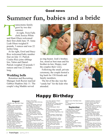## Good news

# **Summer fun, babies and <sup>a</sup> bride**

ransystems family grew by two this summer. At right, Twin Falls clerk Jessica White and Hunt Olsen welcomed their first child June 19. Anna Leah Olsen weighed 8 pounds, 3 ounces and was 22 inches long. and Hun

At far right, Errol and Stacy Rice welcomed baby number four on July 13. Patrick Coulee Rice joins siblings Isis, Valon and Daniel. Patrick weighed 10 pounds 5 ounces and was 22 inches long.

### **Wedding bells**

Retention and Recruiting Manager Josh Rector married Gabbye Hopkins July 11. The couple's dog Maddie served



as ring bearer. Josh's brother, Joe, stood as best man and his brother-in-law, Hoppy, read the couples their vows.

Following the small, private ceremony, the couple hosted a big bash for 150 friends and family members.

The hit of the day was the "candy bar" for the kids who attended.





#### **August**

1. Bradley Loge, Gary Melin, Roger Nelson. 2. William Lohrke, Robert Neisen, Jeffrey Peterson, Chris Ward. 3. Jina Davis, David Sullenger. 4. Chadlee Bly, Brentley Jordan, Donald Runkle. 5. Jacob Betts. 6. Louis Berard, Pamela Nistler. 7. David Eischens, Jack Goodhue, Eric Hall, Bruce Jacobson. 8. Joseph Bruggeman, Mallory Sharp, Richard Wosick. 9. Alberto Arroyo Magos, Eric Berntson, James Claypool II. 10. James Aalderks, Randy Alderman, Mary Castro, Dan Rice, Jonathan Schmeck. 11. Joel Garrison, Charles Reep, Craig Tinlin, Allen Washington. 12. Anthony Atseff, Dalice Hill, Bojan

## Happy Birthday

Senger, Jimmy Stone. 13. Shane Lewis, Myron McCrady, Alfred Nelsen. 14. Cory Gierszewski, Scott Lind, Kirk Metzger, Kevin Miska, Luke Ottem, Matthew Strohmeyer. 15. Arlon Eells, DoroteoEscalera, Neil Hoff, Larry Olson, Vance Thoreson, Marco Tovar Salazar. 17. Christy Dingfelder, Jeffrey Gainey, Ruben Perez, Kenneth Seim,, Ryan Soberaski, Jeremiah Wishard. 18. Toni Blood, Jose Chairez, Sheri Evenson, Joshua Rector. 19. Jordyn Jones, Steven Linde, Marco Antonio Mayo Sanchez, Jerry Schroeder. 20. Bernardo Chaparro, Earl Feucht, Hector Manuel Lopez, Dan Miller,<br>Phillip Murphy, Thomas Rocha, Vern Spoonhunter, Richard Vander Stelt. 21. Martin De La Riva, Robert Free-

man, Kevin Jaenisch, Gregory Lavine, Brad Poppen. 22. Michael Amos, Gregory Blasius, Michael Dunlap, Tyler Niemann, Ryan Sorensen. 23. Bruce Baumgardt, Gilbert Trevino. 24. Steven Bendele, David Hesse, Dana Thomas, Robert Ward. 25. Johnny Atkins, Hugh Brown, Dan Murphy. 26. Julian Andrade, Timothy Dixon, Gayleen Flick, Danny Smith, Dillon Workman. 27. Archie Big Medicine, Joshua Horgen, Benjamin Jirout, Colton Kupitz, Donald McEntarfer. 28. Thomas Inocencio, Garry Leih, Timothy Pagel, Shawn Reed. 29. Thomas Crosby, Gerhard Dupreez. 30. Roy Clever, Dennis Devine, Delbert Gomez, James Justesen,

Richard Lewis, Polly Mejia, Doyle Narry. 31. Thomas Bascom, Paul Desautel, Scott Shultz.

#### **September**

1. Michael Barber, Charles Benger, Lui Cazares Yeverino, Ruben Guillen, Richard Sorenson. 2. Charles Bagley, Corey Blake, Jamie Ness. 3. Benjamin Mills. 4. Geoffrey Applegate, Robert Dunn, Kevin Kasprowicz. 5. Jerome Bretz. 6. Larry Haney Jr., Jeremy Schmierer, Larry Seal. 7. Shane Borg, Brandon Heddan, Joseph Schreffler. 8. Samuel Armas, Daniel Dolence, Harlan Flinn, James Taylor, Shawn Wickersham.

9. Stephen Coleman, Vincent Giambrone, Ramon Gonzalez Escarcega, Shayne Hyde, Terry Knopp, Oral Nikle. 10. Brian Dyer, Timmy Fazekas, Is-rael Guzman, Wade Kovarik, Terry Porter, Randy Wareberg. 11. Sergio Alvarado Sanchez, Nathan Purrington. 12. Esteban Castaneda, Carlos Centeno-Vega, Steven Dailey. 13. Jerry Frame, Katie Galland, Humberto Jaime, Jay Johnson, Jerry Nelson. 14. Julio Alvaro Avalos, Michael Bangle, Lael Huff, Sterren Myklejord, Michael Schwindt, Stephen Williams. 15. Cruiz Bales, Michael Fehlman.

16. Gerardo Canales, Thomas Garcia, Guy Hovde, Brent Lisonbee, Warren Miller, Stephen Muir, Todd Nelson.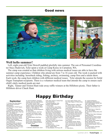### Good news



#### **Well hello summer!**

Left, eight-year-old Tyler Dowell paddled gleefully into summer. The son of Personnel Coordinator Stacy Radovich, Tyler spent a week at Camp Korey in Carnation, WA.

The camp was created so that children living with serious medical issues are able to have the summer camp experience. Children who attend are from 7 to 16 years old. The week is packed with activities including horseback riding, fishing, archery, swimming, camp fires and a talent show. Each week, the camp host children with different medical issues. Tyler attends the session for Solid Organ Transplant recipients. There is a volunteer medical team that attends the camp to ensure each child's daily medical needs are met.

Right, Tanner and Triston Hunt rode away raffle winners at the Hillsboro picnic. Their father is Hillsboro driver Chuck Hunt.

## Happy Birthday

#### **September**

17. Donald Corle, Brian Neilson, James Schwan, Ikromzhon-Shamshidinov. 18. Sarah Nason, Noella Pegram, Vince Towne. 19. Jery Gillaspy, Andrew Greer, Lucas Randow, Alfredo Rojas Soto, Raul Silva, Stanley Taylor, Todd Van Dorn, John Welker Sr. 20. Jama Abdi, Robert Bales, Kelly Clausen, Robert Denruiter, Julian Espinoza, Robert Harris, Randal Mergenthal, Dale Nelson, Darwin Somsen, Colby Stringfield. 21. FarukHyseni, Rocky McBride, Jason Waterworth. 22. Chance Koelln, Eva Moreno, Gerald Wagner, Nathan Wilson. 23. Joseph Foldoe, Elliott Gamblin, Javier Guzman Perez, Adan Lopez, Raul Rodriguez Guzman.

24. David Huddleston, Kristopher Johnson, Aaron Litz, Adam Nadeau, Kirby Philpott, Gordon Taylor. 25. John Burt, Skyler Crump, Steven Hankins, Gregory Landa, Kenneth<br>McKean, Joseph Swiontek, Gilbert Trevino Jr., John Welker, Jr., 26. Bob Brown, Kenneth Burgemeister, Brian Nolan.

27. Andrew Anderson, John Fearneyhough, Oran Hansen, Cesar Munoz Figueroa, Timothy Pethtel, Lyle Sperry. 28. George Belanus, Bert Rose-

meier. 29. Lyle Ausk, Steven Boatman,

Steven Floyd, James Hofstader, Byron Holcomb, Matthew Holmes. 30. Robert Jordahl.

#### **October**

1. Clint Burd, Claude Evans, Tyson

Feller, Mark Jenstrud, Charles Packham, Ronald Utley. 2. Stanley Bruggeman, Kelly Pankratz, Robert Seamons. 3. John Scarlett. 4. Jennifer Bourn, Jason Weeks. 5. Zane Cecil, Robert Salas, Eric Siegfreid, Christian Tate. 6. Maurice Blair, Daniel Brennan, Ray DeLeon, Korky McWilliams, Gene Sampel, Yvonne Sanders, Lance Sharkey, Thomas Ziebach. 7. Mark Albert, Kristine Carl, William Emmett, Glenn Holweger, Cody Lancaster, Clyde Opdahl. 8. Jeremy Crowhorn, Marvin Novak, Jeff Sylskar, David Wedel. 9. Steve Torix. 10. Rodney Lund. 11. Ohran Hasanovic, Ernest Shelvin, Gregory Sloan. 12. Gary Bergman, Tim Fiscus, Mil-

ton Jones, Martin Tolman, Coral Torix, Ryan Wagner, W Wilcox, Mary Zeller.

14. Bradley Arterburn, Jeffrey Feltman, Steven Hager, Jami Hollon. 15. Kenneth Gaylord, Bruce Voelker, James Woolley. 16. Frank Nerud, Allen Piper, Samantha Simkins, James Thara. 17. Martin Aspiazu, Spencer Halverson, Scott Pancheri, Daryl Savage, Julie Small, Michael Thompson. 18. Kyle Jones, Marshal Monk, Cesar Torales Diaz. 19. Dennis Aldrich, Beth Juarez, Travis Perkins. 20. Guadalupe Chavez, Steven Collins, Richard Hartung, Rodney Latta, Joshua Monty, Jean Nguessan, Daniel Schwerin, Mthokozisi Zikahli. 21. Adam Byrne.

22. Joseph Kreidelcamp. 23. Keith Bower, Marisa Bustamante, Benito Molina, Michael Tammaro, Brian Walters. 24. Todd Aasen, Andres Diaz Flores, Mark Hulst, Dennis Rekow, Cory Somsen. 25. Kenneth Cook Jr., Robert Enriquez, Jerry Hoffarth. 26. Jed Garner, Rodney Harris, Ann Powers. 27. Richard Dyer, Myron Harbaugh, Robert Wisecaver. 28. Ernie Conan, Tammy Laroque, Michael Page, Errol Rice, Ronald Smith, Steven Stathis. 29. John Essig, John Hoadley, Mario Reyes, Mark Schmidt. 30. Eric Escobedo, Dan Incerti, Daniel Santana Argueta, Travis Timmerman. 31. Thomas Austad, Gayle Bonnema, Mark Wilkinson.